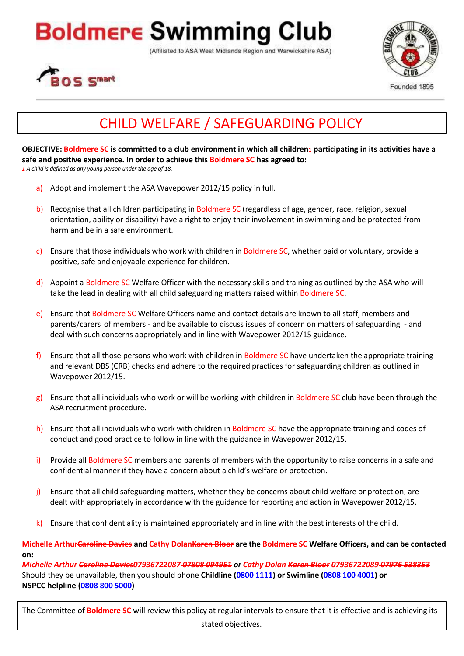## Boldmere Swimming Club

(Affiliated to ASA West Midlands Region and Warwickshire ASA)





## CHILD WELFARE / SAFEGUARDING POLICY

**OBJECTIVE: Boldmere SC is committed to a club environment in which all children1 participating in its activities have a safe and positive experience. In order to achieve this Boldmere SC has agreed to:** *1 A child is defined as any young person under the age of 18.*

- a) Adopt and implement the ASA Wavepower 2012/15 policy in full.
- b) Recognise that all children participating in Boldmere SC (regardless of age, gender, race, religion, sexual orientation, ability or disability) have a right to enjoy their involvement in swimming and be protected from harm and be in a safe environment.
- c) Ensure that those individuals who work with children in Boldmere SC, whether paid or voluntary, provide a positive, safe and enjoyable experience for children.
- d) Appoint a Boldmere SC Welfare Officer with the necessary skills and training as outlined by the ASA who will take the lead in dealing with all child safeguarding matters raised within Boldmere SC.
- e) Ensure that Boldmere SC Welfare Officers name and contact details are known to all staff, members and parents/carers of members - and be available to discuss issues of concern on matters of safeguarding - and deal with such concerns appropriately and in line with Wavepower 2012/15 guidance.
- f) Ensure that all those persons who work with children in Boldmere SC have undertaken the appropriate training and relevant DBS (CRB) checks and adhere to the required practices for safeguarding children as outlined in Wavepower 2012/15.
- $g$ ) Ensure that all individuals who work or will be working with children in Boldmere SC club have been through the ASA recruitment procedure.
- h) Ensure that all individuals who work with children in Boldmere SC have the appropriate training and codes of conduct and good practice to follow in line with the guidance in Wavepower 2012/15.
- i) Provide all Boldmere SC members and parents of members with the opportunity to raise concerns in a safe and confidential manner if they have a concern about a child's welfare or protection.
- j) Ensure that all child safeguarding matters, whether they be concerns about child welfare or protection, are dealt with appropriately in accordance with the guidance for reporting and action in Wavepower 2012/15.
- $k$ ) Ensure that confidentiality is maintained appropriately and in line with the best interests of the child.
- **Michelle ArthurCaroline Davies and Cathy DolanKaren Bloor are the Boldmere SC Welfare Officers, and can be contacted on:**

*Michelle Arthur Caroline Davies07936722087 07808 094951 or Cathy Dolan Karen Bloor 07936722089 07976 538353* Should they be unavailable, then you should phone **Childline (0800 1111) or Swimline (0808 100 4001) or NSPCC helpline (0808 800 5000)**

The Committee of **Boldmere SC** will review this policy at regular intervals to ensure that it is effective and is achieving its stated objectives.